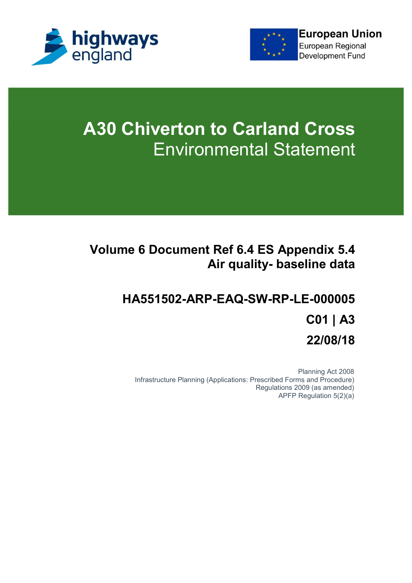



# **A30 Chiverton to Carland Cross** Environmental Statement

## **Volume 6 Document Ref 6.4 ES Appendix 5.4 Air quality- baseline data**

## **HA551502-ARP-EAQ-SW-RP-LE-000005 C01 | A3 22/08/18**

Planning Act 2008 Infrastructure Planning (Applications: Prescribed Forms and Procedure) Regulations 2009 (as amended) APFP Regulation 5(2)(a)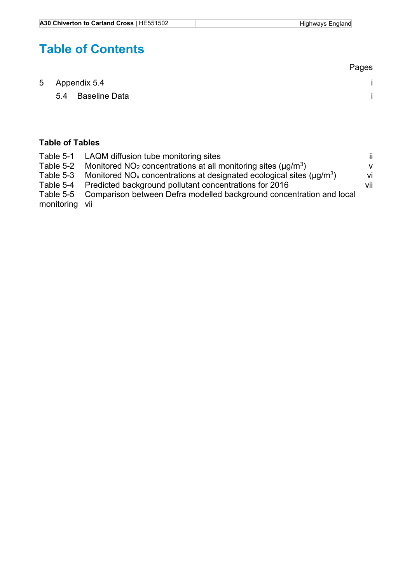## **Table of Contents**

|                   | Pages |
|-------------------|-------|
| 5 Appendix 5.4    |       |
| 5.4 Baseline Data |       |
|                   |       |

#### **Table of Tables**

|                | Table 5-1 LAQM diffusion tube monitoring sites                                              | -ii          |
|----------------|---------------------------------------------------------------------------------------------|--------------|
|                | Table 5-2 Monitored $NO2$ concentrations at all monitoring sites ( $\mu$ g/m <sup>3</sup> ) | $\mathsf{V}$ |
|                | Table 5-3 Monitored $NO_x$ concentrations at designated ecological sites ( $\mu q/m^3$ )    | vi           |
|                | Table 5-4 Predicted background pollutant concentrations for 2016                            | vii          |
|                | Table 5-5 Comparison between Defra modelled background concentration and local              |              |
| monitoring vii |                                                                                             |              |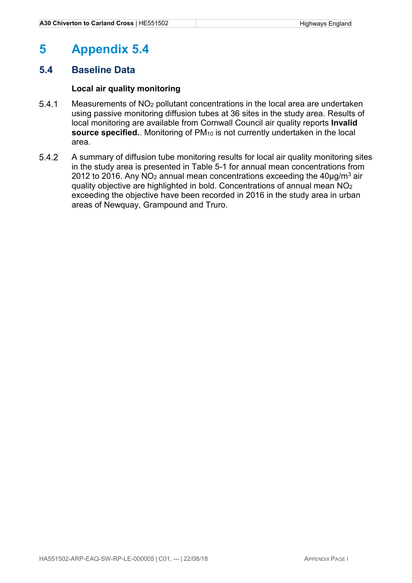### **5 Appendix 5.4**

#### **5.4 Baseline Data**

#### **Local air quality monitoring**

- Measurements of NO2 pollutant concentrations in the local area are undertaken using passive monitoring diffusion tubes at 36 sites in the study area. Results of local monitoring are available from Cornwall Council air quality reports **Invalid**  source specified.. Monitoring of PM<sub>10</sub> is not currently undertaken in the local area.
- A summary of diffusion tube monitoring results for local air quality monitoring sites in the study area is presented in Table 5-1 for annual mean concentrations from 2012 to 2016. Any NO<sub>2</sub> annual mean concentrations exceeding the 40 $\mu$ g/m<sup>3</sup> air quality objective are highlighted in bold. Concentrations of annual mean NO<sup>2</sup> exceeding the objective have been recorded in 2016 in the study area in urban areas of Newquay, Grampound and Truro.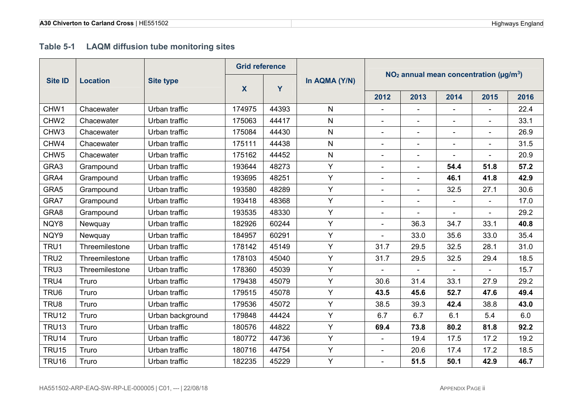#### **Table 5-1 LAQM diffusion tube monitoring sites**

|                  | <b>Location</b> | <b>Site type</b> | <b>Grid reference</b> |       |               |                                                            |                          |                          |                              |      |
|------------------|-----------------|------------------|-----------------------|-------|---------------|------------------------------------------------------------|--------------------------|--------------------------|------------------------------|------|
| <b>Site ID</b>   |                 |                  | X                     | Y     | In AQMA (Y/N) | $NO2$ annual mean concentration ( $\mu$ g/m <sup>3</sup> ) |                          |                          |                              |      |
|                  |                 |                  |                       |       |               | 2012                                                       | 2013                     | 2014                     | 2015                         | 2016 |
| CHW1             | Chacewater      | Urban traffic    | 174975                | 44393 | N             | $\blacksquare$                                             |                          |                          | $\overline{\phantom{a}}$     | 22.4 |
| CHW <sub>2</sub> | Chacewater      | Urban traffic    | 175063                | 44417 | N             |                                                            | $\sim$                   |                          | $\overline{\phantom{0}}$     | 33.1 |
| CHW <sub>3</sub> | Chacewater      | Urban traffic    | 175084                | 44430 | N             |                                                            | $\overline{\phantom{0}}$ |                          | $\overline{a}$               | 26.9 |
| CHW4             | Chacewater      | Urban traffic    | 175111                | 44438 | N             | $\blacksquare$                                             | $\overline{\phantom{a}}$ | $\overline{\phantom{0}}$ | $\overline{\phantom{a}}$     | 31.5 |
| CHW <sub>5</sub> | Chacewater      | Urban traffic    | 175162                | 44452 | N             |                                                            | $\blacksquare$           |                          |                              | 20.9 |
| GRA3             | Grampound       | Urban traffic    | 193644                | 48273 | Y             | $\overline{\phantom{a}}$                                   | $\overline{\phantom{0}}$ | 54.4                     | 51.8                         | 57.2 |
| GRA4             | Grampound       | Urban traffic    | 193695                | 48251 | Y             |                                                            | $\overline{\phantom{a}}$ | 46.1                     | 41.8                         | 42.9 |
| GRA5             | Grampound       | Urban traffic    | 193580                | 48289 | Y             | $\blacksquare$                                             | $\blacksquare$           | 32.5                     | 27.1                         | 30.6 |
| GRA7             | Grampound       | Urban traffic    | 193418                | 48368 | Y             | $\overline{\phantom{a}}$                                   | $\blacksquare$           |                          | $\blacksquare$               | 17.0 |
| GRA8             | Grampound       | Urban traffic    | 193535                | 48330 | Y             | $\overline{\phantom{a}}$                                   | $\blacksquare$           |                          | $\qquad \qquad \blacksquare$ | 29.2 |
| NQY8             | Newquay         | Urban traffic    | 182926                | 60244 | Y             | $\blacksquare$                                             | 36.3                     | 34.7                     | 33.1                         | 40.8 |
| NQY9             | Newquay         | Urban traffic    | 184957                | 60291 | Y             |                                                            | 33.0                     | 35.6                     | 33.0                         | 35.4 |
| TRU1             | Threemilestone  | Urban traffic    | 178142                | 45149 | Y             | 31.7                                                       | 29.5                     | 32.5                     | 28.1                         | 31.0 |
| TRU <sub>2</sub> | Threemilestone  | Urban traffic    | 178103                | 45040 | Y             | 31.7                                                       | 29.5                     | 32.5                     | 29.4                         | 18.5 |
| TRU3             | Threemilestone  | Urban traffic    | 178360                | 45039 | Y             |                                                            | $\overline{\phantom{a}}$ |                          |                              | 15.7 |
| TRU4             | Truro           | Urban traffic    | 179438                | 45079 | Y             | 30.6                                                       | 31.4                     | 33.1                     | 27.9                         | 29.2 |
| TRU <sub>6</sub> | Truro           | Urban traffic    | 179515                | 45078 | Y             | 43.5                                                       | 45.6                     | 52.7                     | 47.6                         | 49.4 |
| TRU8             | Truro           | Urban traffic    | 179536                | 45072 | Y             | 38.5                                                       | 39.3                     | 42.4                     | 38.8                         | 43.0 |
| <b>TRU12</b>     | Truro           | Urban background | 179848                | 44424 | Y             | 6.7                                                        | 6.7                      | 6.1                      | 5.4                          | 6.0  |
| <b>TRU13</b>     | Truro           | Urban traffic    | 180576                | 44822 | Y             | 69.4                                                       | 73.8                     | 80.2                     | 81.8                         | 92.2 |
| <b>TRU14</b>     | Truro           | Urban traffic    | 180772                | 44736 | Y             |                                                            | 19.4                     | 17.5                     | 17.2                         | 19.2 |
| <b>TRU15</b>     | Truro           | Urban traffic    | 180716                | 44754 | Y             |                                                            | 20.6                     | 17.4                     | 17.2                         | 18.5 |
| <b>TRU16</b>     | Truro           | Urban traffic    | 182235                | 45229 | Y             |                                                            | 51.5                     | 50.1                     | 42.9                         | 46.7 |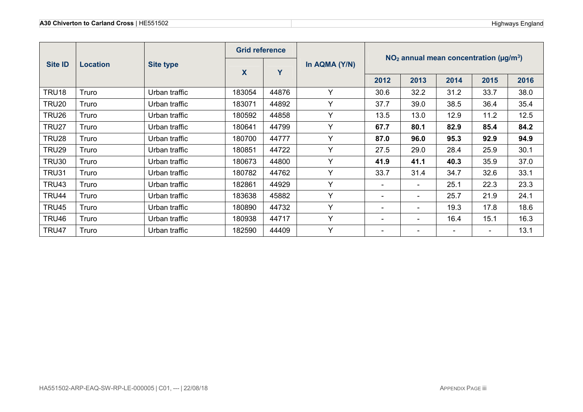|                | Location | <b>Site type</b> | <b>Grid reference</b> |       |               |                                                            |                          |                          |                          |      |
|----------------|----------|------------------|-----------------------|-------|---------------|------------------------------------------------------------|--------------------------|--------------------------|--------------------------|------|
| <b>Site ID</b> |          |                  | X                     | Y     | In AQMA (Y/N) | $NO2$ annual mean concentration ( $\mu$ g/m <sup>3</sup> ) |                          |                          |                          |      |
|                |          |                  |                       |       |               | 2012                                                       | 2013                     | 2014                     | 2015                     | 2016 |
| TRU18          | Truro    | Urban traffic    | 183054                | 44876 | Υ             | 30.6                                                       | 32.2                     | 31.2                     | 33.7                     | 38.0 |
| <b>TRU20</b>   | Truro    | Urban traffic    | 183071                | 44892 | Υ             | 37.7                                                       | 39.0                     | 38.5                     | 36.4                     | 35.4 |
| TRU26          | Truro    | Urban traffic    | 180592                | 44858 | Υ             | 13.5                                                       | 13.0                     | 12.9                     | 11.2                     | 12.5 |
| TRU27          | Truro    | Urban traffic    | 180641                | 44799 | Y             | 67.7                                                       | 80.1                     | 82.9                     | 85.4                     | 84.2 |
| TRU28          | Truro    | Urban traffic    | 180700                | 44777 | v             | 87.0                                                       | 96.0                     | 95.3                     | 92.9                     | 94.9 |
| TRU29          | Truro    | Urban traffic    | 180851                | 44722 | Υ             | 27.5                                                       | 29.0                     | 28.4                     | 25.9                     | 30.1 |
| <b>TRU30</b>   | Truro    | Urban traffic    | 180673                | 44800 | Y             | 41.9                                                       | 41.1                     | 40.3                     | 35.9                     | 37.0 |
| <b>TRU31</b>   | Truro    | Urban traffic    | 180782                | 44762 | Y             | 33.7                                                       | 31.4                     | 34.7                     | 32.6                     | 33.1 |
| TRU43          | Truro    | Urban traffic    | 182861                | 44929 | Y             | $\overline{\phantom{a}}$                                   | $\overline{\phantom{a}}$ | 25.1                     | 22.3                     | 23.3 |
| TRU44          | Truro    | Urban traffic    | 183638                | 45882 | Υ             | $\overline{\phantom{a}}$                                   | $\overline{\phantom{a}}$ | 25.7                     | 21.9                     | 24.1 |
| TRU45          | Truro    | Urban traffic    | 180890                | 44732 | Y             | $\overline{\phantom{a}}$                                   | $\overline{\phantom{a}}$ | 19.3                     | 17.8                     | 18.6 |
| TRU46          | Truro    | Urban traffic    | 180938                | 44717 | Y             | $\overline{\phantom{a}}$                                   | $\overline{\phantom{a}}$ | 16.4                     | 15.1                     | 16.3 |
| TRU47          | Truro    | Urban traffic    | 182590                | 44409 | Y             | $\overline{\phantom{a}}$                                   | $\overline{\phantom{a}}$ | $\overline{\phantom{a}}$ | $\overline{\phantom{a}}$ | 13.1 |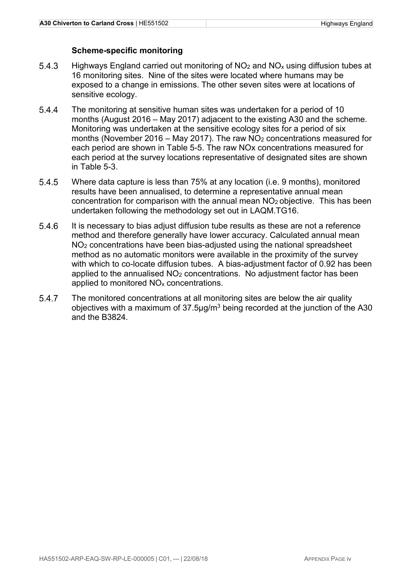#### **Scheme-specific monitoring**

- 5.4.3 Highways England carried out monitoring of  $NO<sub>2</sub>$  and  $NO<sub>x</sub>$  using diffusion tubes at 16 monitoring sites. Nine of the sites were located where humans may be exposed to a change in emissions. The other seven sites were at locations of sensitive ecology.
- The monitoring at sensitive human sites was undertaken for a period of 10 months (August 2016 – May 2017) adjacent to the existing A30 and the scheme. Monitoring was undertaken at the sensitive ecology sites for a period of six months (November 2016 – May 2017). The raw  $NO<sub>2</sub>$  concentrations measured for each period are shown in Table 5-5. The raw NOx concentrations measured for each period at the survey locations representative of designated sites are shown in Table 5-3.
- Where data capture is less than 75% at any location (i.e. 9 months), monitored results have been annualised, to determine a representative annual mean concentration for comparison with the annual mean NO2 objective. This has been undertaken following the methodology set out in LAQM.TG16.
- It is necessary to bias adjust diffusion tube results as these are not a reference method and therefore generally have lower accuracy. Calculated annual mean NO2 concentrations have been bias-adjusted using the national spreadsheet method as no automatic monitors were available in the proximity of the survey with which to co-locate diffusion tubes. A bias-adjustment factor of 0.92 has been applied to the annualised NO2 concentrations. No adjustment factor has been applied to monitored NOx concentrations.
- 5.4.7 The monitored concentrations at all monitoring sites are below the air quality objectives with a maximum of  $37.5 \mu g/m<sup>3</sup>$  being recorded at the junction of the A30 and the B3824.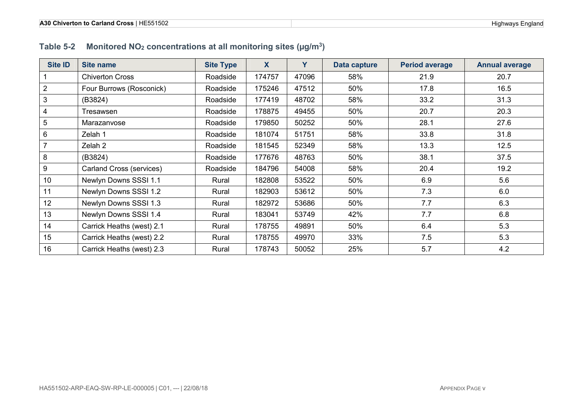#### **Table 5-2 Monitored NO2 concentrations at all monitoring sites (µg/m<sup>3</sup>)**

| <b>Site ID</b>   | <b>Site name</b>          | <b>Site Type</b> | $\mathbf{X}$ | Y     | Data capture | <b>Period average</b> | <b>Annual average</b> |
|------------------|---------------------------|------------------|--------------|-------|--------------|-----------------------|-----------------------|
|                  | <b>Chiverton Cross</b>    | Roadside         | 174757       | 47096 | 58%          | 21.9                  | 20.7                  |
| $\boldsymbol{2}$ | Four Burrows (Rosconick)  | Roadside         | 175246       | 47512 | 50%          | 17.8                  | 16.5                  |
| 3                | (B3824)                   | Roadside         | 177419       | 48702 | 58%          | 33.2                  | 31.3                  |
| $\overline{4}$   | Tresawsen                 | Roadside         | 178875       | 49455 | 50%          | 20.7                  | 20.3                  |
| $\overline{5}$   | Marazanvose               | Roadside         | 179850       | 50252 | 50%          | 28.1                  | 27.6                  |
| $6\phantom{1}$   | Zelah 1                   | Roadside         | 181074       | 51751 | 58%          | 33.8                  | 31.8                  |
|                  | Zelah 2                   | Roadside         | 181545       | 52349 | 58%          | 13.3                  | 12.5                  |
| 8                | (B3824)                   | Roadside         | 177676       | 48763 | 50%          | 38.1                  | 37.5                  |
| 9                | Carland Cross (services)  | Roadside         | 184796       | 54008 | 58%          | 20.4                  | 19.2                  |
| 10               | Newlyn Downs SSSI 1.1     | Rural            | 182808       | 53522 | 50%          | 6.9                   | 5.6                   |
| 11               | Newlyn Downs SSSI 1.2     | Rural            | 182903       | 53612 | 50%          | 7.3                   | 6.0                   |
| 12               | Newlyn Downs SSSI 1.3     | Rural            | 182972       | 53686 | 50%          | 7.7                   | 6.3                   |
| 13               | Newlyn Downs SSSI 1.4     | Rural            | 183041       | 53749 | 42%          | 7.7                   | 6.8                   |
| 14               | Carrick Heaths (west) 2.1 | Rural            | 178755       | 49891 | 50%          | 6.4                   | 5.3                   |
| 15               | Carrick Heaths (west) 2.2 | Rural            | 178755       | 49970 | 33%          | 7.5                   | 5.3                   |
| 16               | Carrick Heaths (west) 2.3 | Rural            | 178743       | 50052 | 25%          | 5.7                   | 4.2                   |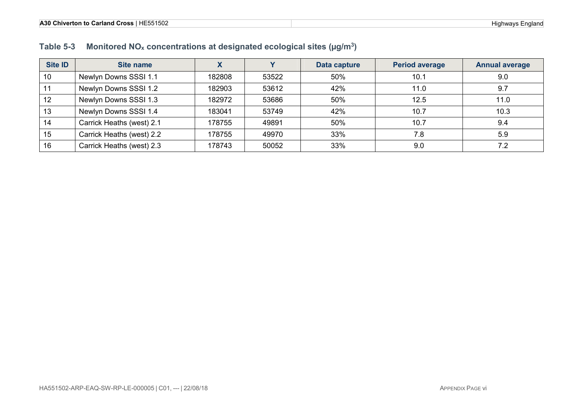#### **Table 5-3 Monitored NOx concentrations at designated ecological sites (µg/m<sup>3</sup>)**

| <b>Site ID</b> | Site name                 | $\boldsymbol{\Lambda}$ |       | Data capture | <b>Period average</b> | <b>Annual average</b> |
|----------------|---------------------------|------------------------|-------|--------------|-----------------------|-----------------------|
| 10             | Newlyn Downs SSSI 1.1     | 182808                 | 53522 | 50%          | 10.1                  | 9.0                   |
| 11             | Newlyn Downs SSSI 1.2     | 182903                 | 53612 | 42%          | 11.0                  | 9.7                   |
| 12             | Newlyn Downs SSSI 1.3     | 182972                 | 53686 | 50%          | 12.5                  | 11.0                  |
| 13             | Newlyn Downs SSSI 1.4     | 183041                 | 53749 | 42%          | 10.7                  | 10.3                  |
| 14             | Carrick Heaths (west) 2.1 | 178755                 | 49891 | 50%          | 10.7                  | 9.4                   |
| 15             | Carrick Heaths (west) 2.2 | 178755                 | 49970 | 33%          | 7.8                   | 5.9                   |
| 16             | Carrick Heaths (west) 2.3 | 178743                 | 50052 | 33%          | 9.0                   |                       |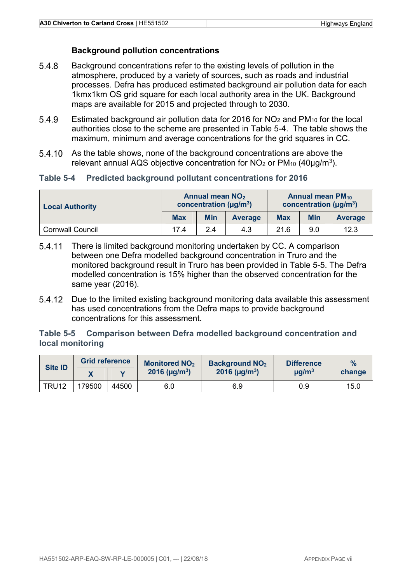#### **Background pollution concentrations**

- Background concentrations refer to the existing levels of pollution in the atmosphere, produced by a variety of sources, such as roads and industrial processes. Defra has produced estimated background air pollution data for each 1kmx1km OS grid square for each local authority area in the UK. Background maps are available for 2015 and projected through to 2030.
- 5.4.9 Estimated background air pollution data for 2016 for  $NO<sub>2</sub>$  and PM<sub>10</sub> for the local authorities close to the scheme are presented in Table 5-4. The table shows the maximum, minimum and average concentrations for the grid squares in CC.
- As the table shows, none of the background concentrations are above the relevant annual AQS objective concentration for  $NO<sub>2</sub>$  or  $PM<sub>10</sub>$  (40 $\mu$ g/m<sup>3</sup>).

#### **Table 5-4 Predicted background pollutant concentrations for 2016**

| <b>Local Authority</b>  |            | <b>Annual mean NO<sub>2</sub></b><br>concentration ( $\mu$ g/m <sup>3</sup> ) |                | <b>Annual mean PM10</b><br>concentration ( $\mu$ g/m <sup>3</sup> ) |     |                |
|-------------------------|------------|-------------------------------------------------------------------------------|----------------|---------------------------------------------------------------------|-----|----------------|
|                         | <b>Max</b> | <b>Min</b>                                                                    | <b>Average</b> | <b>Max</b>                                                          | Min | <b>Average</b> |
| <b>Cornwall Council</b> | 17.4       | 24                                                                            | 4.3            | 21.6                                                                | 9.0 | 12.3           |

- 5.4.11 There is limited background monitoring undertaken by CC. A comparison between one Defra modelled background concentration in Truro and the monitored background result in Truro has been provided in Table 5-5. The Defra modelled concentration is 15% higher than the observed concentration for the same year (2016).
- Due to the limited existing background monitoring data available this assessment has used concentrations from the Defra maps to provide background concentrations for this assessment.

#### **Table 5-5 Comparison between Defra modelled background concentration and local monitoring**

| <b>Site ID</b>    | <b>Grid reference</b> |       | <b>Monitored NO<sub>2</sub></b> | <b>Background NO<sub>2</sub></b> | <b>Difference</b>      | $\frac{0}{2}$ |
|-------------------|-----------------------|-------|---------------------------------|----------------------------------|------------------------|---------------|
|                   |                       |       | 2016 ( $\mu$ g/m <sup>3</sup> ) | 2016 ( $\mu$ g/m <sup>3</sup> )  | $\mu$ g/m <sup>3</sup> | change        |
| TRU <sub>12</sub> | 79500                 | 44500 | 6.0                             | 6.9                              | 0.9                    | 15.0          |